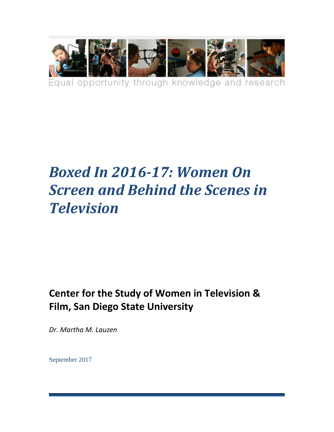

# *Boxed In 2016-17: Women On Screen and Behind the Scenes in Television*

# **Center for the Study of Women in Television & Film, San Diego State University**

*Dr. Martha M. Lauzen*

September 2017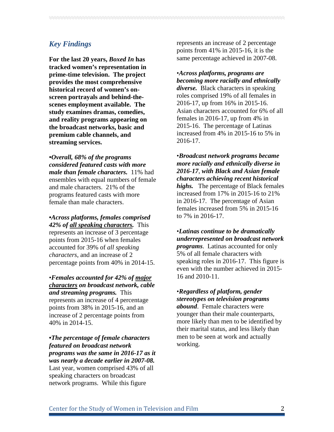# *Key Findings*

**For the last 20 years,** *Boxed In* **has tracked women's representation in prime-time television. The project provides the most comprehensive historical record of women's onscreen portrayals and behind-thescenes employment available. The study examines dramas, comedies, and reality programs appearing on the broadcast networks, basic and premium cable channels, and streaming services.** 

*•Overall, 68% of the programs considered featured casts with more male than female characters.*11% had ensembles with equal numbers of female and male characters. 21% of the programs featured casts with more female than male characters.

**•***Across platforms, females comprised 42% of all speaking characters.*This represents an increase of 3 percentage points from 2015-16 when females accounted for 39% of *all speaking characters*, and an increase of 2 percentage points from 40% in 2014-15.

•*Females accounted for 42% of major characters on broadcast network, cable and streaming programs.* This represents an increase of 4 percentage points from 38% in 2015-16, and an increase of 2 percentage points from 40% in 2014-15.

**•***The percentage of female characters featured on broadcast network programs was the same in 2016-17 as it was nearly a decade earlier in 2007-08.* Last year, women comprised 43% of all speaking characters on broadcast network programs. While this figure

represents an increase of 2 percentage points from 41% in 2015-16, it is the same percentage achieved in 2007-08.

•*Across platforms, programs are becoming more racially and ethnically diverse.* Black characters in speaking roles comprised 19% of all females in 2016-17, up from 16% in 2015-16. Asian characters accounted for 6% of all females in 2016-17, up from 4% in 2015-16. The percentage of Latinas increased from 4% in 2015-16 to 5% in 2016-17.

•*Broadcast network programs became more racially and ethnically diverse in 2016-17, with Black and Asian female characters achieving recent historical highs.* The percentage of Black females increased from 17% in 2015-16 to 21% in 2016-17. The percentage of Asian females increased from 5% in 2015-16 to 7% in 2016-17.

•*Latinas continue to be dramatically underrepresented on broadcast network programs*. Latinas accounted for only 5% of all female characters with speaking roles in 2016-17. This figure is even with the number achieved in 2015- 16 and 2010-11.

•*Regardless of platform, gender stereotypes on television programs abound*. Female characters were younger than their male counterparts, more likely than men to be identified by their marital status, and less likely than men to be seen at work and actually working.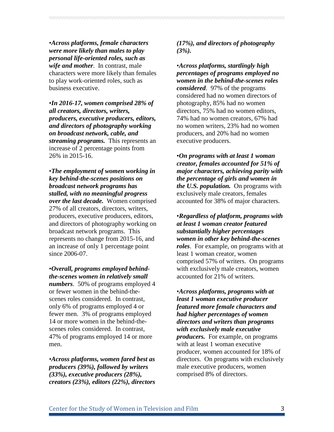•*Across platforms, female characters were more likely than males to play personal life-oriented roles, such as wife and mother*. In contrast, male characters were more likely than females to play work-oriented roles, such as business executive.

•*In 2016-17, women comprised 28% of all creators, directors, writers, producers, executive producers, editors, and directors of photography working on broadcast network, cable, and streaming programs.* This represents an increase of 2 percentage points from 26% in 2015-16.

•*The employment of women working in key behind-the-scenes positions on broadcast network programs has stalled, with no meaningful progress over the last decade.* Women comprised 27% of all creators, directors, writers, producers, executive producers, editors, and directors of photography working on broadcast network programs. This represents no change from 2015-16, and an increase of only 1 percentage point since 2006-07.

•*Overall, programs employed behindthe-scenes women in relatively small numbers*. 50% of programs employed 4 or fewer women in the behind-thescenes roles considered. In contrast, only 6% of programs employed 4 or fewer men. 3% of programs employed 14 or more women in the behind-thescenes roles considered. In contrast, 47% of programs employed 14 or more men.

*•Across platforms, women fared best as producers (39%), followed by writers (33%), executive producers (28%), creators (23%), editors (22%), directors* 

*(17%), and directors of photography (3%).*

•*Across platforms, startlingly high percentages of programs employed no women in the behind-the-scenes roles considered*. 97% of the programs considered had no women directors of photography, 85% had no women directors, 75% had no women editors, 74% had no women creators, 67% had no women writers, 23% had no women producers, and 20% had no women executive producers.

•*On programs with at least 1 woman creator, females accounted for 51% of major characters, achieving parity with the percentage of girls and women in the U.S. population.* On programs with exclusively male creators, females accounted for 38% of major characters.

•*Regardless of platform, programs with at least 1 woman creator featured substantially higher percentages women in other key behind-the-scenes roles*. For example, on programs with at least 1 woman creator, women comprised 57% of writers. On programs with exclusively male creators, women accounted for 21% of writers.

•*Across platforms, programs with at least 1 woman executive producer featured more female characters and had higher percentages of women directors and writers than programs with exclusively male executive producers.* For example, on programs with at least 1 woman executive producer, women accounted for 18% of directors. On programs with exclusively male executive producers, women comprised 8% of directors.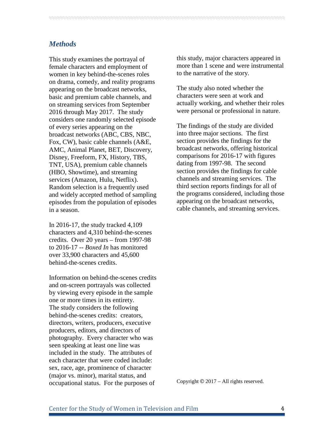# *Methods*

This study examines the portrayal of female characters and employment of women in key behind-the-scenes roles on drama, comedy, and reality programs appearing on the broadcast networks, basic and premium cable channels, and on streaming services from September 2016 through May 2017. The study considers one randomly selected episode of every series appearing on the broadcast networks (ABC, CBS, NBC, Fox, CW), basic cable channels (A&E, AMC, Animal Planet, BET, Discovery, Disney, Freeform, FX, History, TBS, TNT, USA), premium cable channels (HBO, Showtime), and streaming services (Amazon, Hulu, Netflix). Random selection is a frequently used and widely accepted method of sampling episodes from the population of episodes in a season.

In 2016-17, the study tracked 4,109 characters and 4,310 behind-the-scenes credits. Over 20 years – from 1997-98 to 2016-17 -- *Boxed In* has monitored over 33,900 characters and 45,600 behind-the-scenes credits.

Information on behind-the-scenes credits and on-screen portrayals was collected by viewing every episode in the sample one or more times in its entirety. The study considers the following behind-the-scenes credits: creators, directors, writers, producers, executive producers, editors, and directors of photography. Every character who was seen speaking at least one line was included in the study. The attributes of each character that were coded include: sex, race, age, prominence of character (major vs. minor), marital status, and occupational status. For the purposes of

this study, major characters appeared in more than 1 scene and were instrumental to the narrative of the story.

The study also noted whether the characters were seen at work and actually working, and whether their roles were personal or professional in nature.

The findings of the study are divided into three major sections. The first section provides the findings for the broadcast networks, offering historical comparisons for 2016-17 with figures dating from 1997-98. The second section provides the findings for cable channels and streaming services. The third section reports findings for all of the programs considered, including those appearing on the broadcast networks, cable channels, and streaming services.

Copyright  $\odot$  2017 – All rights reserved.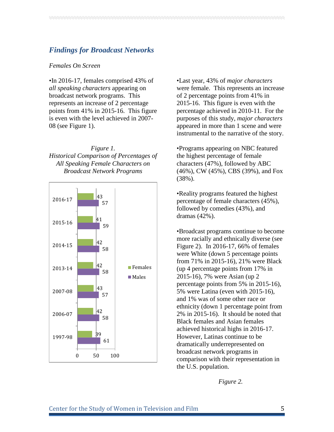# *Findings for Broadcast Networks*

#### *Females On Screen*

•In 2016-17, females comprised 43% of *all speaking characters* appearing on broadcast network programs. This represents an increase of 2 percentage points from 41% in 2015-16. This figure is even with the level achieved in 2007- 08 (see Figure 1).

*Figure 1. Historical Comparison of Percentages of All Speaking Female Characters on Broadcast Network Programs*



•Last year, 43% of *major characters* were female. This represents an increase of 2 percentage points from 41% in 2015-16. This figure is even with the percentage achieved in 2010-11. For the purposes of this study, *major characters* appeared in more than 1 scene and were instrumental to the narrative of the story.

•Programs appearing on NBC featured the highest percentage of female characters (47%), followed by ABC (46%), CW (45%), CBS (39%), and Fox (38%).

•Reality programs featured the highest percentage of female characters (45%), followed by comedies (43%), and dramas (42%).

•Broadcast programs continue to become more racially and ethnically diverse (see Figure 2). In 2016-17, 66% of females were White (down 5 percentage points from 71% in 2015-16), 21% were Black (up 4 percentage points from 17% in 2015-16), 7% were Asian (up 2 percentage points from 5% in 2015-16), 5% were Latina (even with 2015-16), and 1% was of some other race or ethnicity (down 1 percentage point from 2% in 2015-16). It should be noted that Black females and Asian females achieved historical highs in 2016-17. However, Latinas continue to be dramatically underrepresented on broadcast network programs in comparison with their representation in the U.S. population.

*Figure 2.*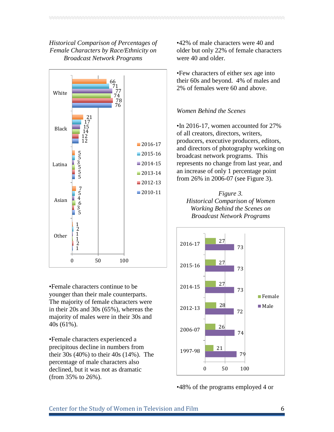# *Historical Comparison of Percentages of Female Characters by Race/Ethnicity on Broadcast Network Programs*



•Female characters continue to be younger than their male counterparts. The majority of female characters were in their 20s and 30s (65%), whereas the majority of males were in their 30s and 40s (61%).

•Female characters experienced a precipitous decline in numbers from their 30s (40%) to their 40s (14%). The percentage of male characters also declined, but it was not as dramatic (from 35% to 26%).

•42% of male characters were 40 and older but only 22% of female characters were 40 and older.

•Few characters of either sex age into their 60s and beyond. 4% of males and 2% of females were 60 and above.

# *Women Behind the Scenes*

•In 2016-17, women accounted for 27% of all creators, directors, writers, producers, executive producers, editors, and directors of photography working on broadcast network programs. This represents no change from last year, and an increase of only 1 percentage point from 26% in 2006-07 (see Figure 3).





•48% of the programs employed 4 or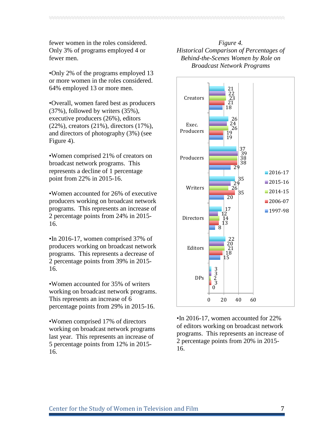fewer women in the roles considered. Only 3% of programs employed 4 or fewer men.

•Only 2% of the programs employed 13 or more women in the roles considered. 64% employed 13 or more men.

•Overall, women fared best as producers (37%), followed by writers (35%), executive producers (26%), editors (22%), creators (21%), directors (17%), and directors of photography (3%) (see Figure 4).

•Women comprised 21% of creators on broadcast network programs. This represents a decline of 1 percentage point from 22% in 2015-16.

•Women accounted for 26% of executive producers working on broadcast network programs. This represents an increase of 2 percentage points from 24% in 2015- 16.

•In 2016-17, women comprised 37% of producers working on broadcast network programs. This represents a decrease of 2 percentage points from 39% in 2015- 16.

•Women accounted for 35% of writers working on broadcast network programs. This represents an increase of 6 percentage points from 29% in 2015-16.

•Women comprised 17% of directors working on broadcast network programs last year. This represents an increase of 5 percentage points from 12% in 2015- 16.

*Figure 4. Historical Comparison of Percentages of Behind-the-Scenes Women by Role on Broadcast Network Programs*



•In 2016-17, women accounted for 22% of editors working on broadcast network programs. This represents an increase of 2 percentage points from 20% in 2015- 16.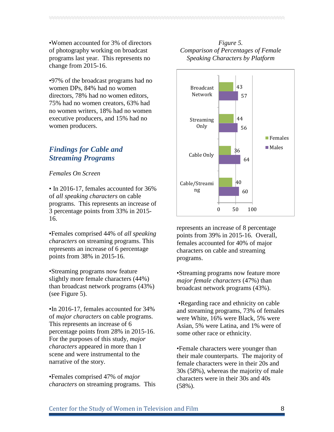•Women accounted for 3% of directors of photography working on broadcast programs last year. This represents no change from 2015-16.

•97% of the broadcast programs had no women DPs, 84% had no women directors, 78% had no women editors, 75% had no women creators, 63% had no women writers, 18% had no women executive producers, and 15% had no women producers.

# *Findings for Cable and Streaming Programs*

#### *Females On Screen*

• In 2016-17, females accounted for 36% of *all speaking characters* on cable programs. This represents an increase of 3 percentage points from 33% in 2015- 16.

•Females comprised 44% of *all speaking characters* on streaming programs. This represents an increase of 6 percentage points from 38% in 2015-16.

•Streaming programs now feature slightly more female characters (44%) than broadcast network programs (43%) (see Figure 5).

•In 2016-17, females accounted for 34% of *major characters* on cable programs. This represents an increase of 6 percentage points from 28% in 2015-16. For the purposes of this study, *major characters* appeared in more than 1 scene and were instrumental to the narrative of the story.

•Females comprised 47% of *major characters* on streaming programs. This

### *Figure 5. Comparison of Percentages of Female Speaking Characters by Platform*



represents an increase of 8 percentage points from 39% in 2015-16. Overall, females accounted for 40% of major characters on cable and streaming programs.

•Streaming programs now feature more *major female characters* (47%) than broadcast network programs (43%).

•Regarding race and ethnicity on cable and streaming programs, 73% of females were White, 16% were Black, 5% were Asian, 5% were Latina, and 1% were of some other race or ethnicity.

•Female characters were younger than their male counterparts. The majority of female characters were in their 20s and 30s (58%), whereas the majority of male characters were in their 30s and 40s (58%).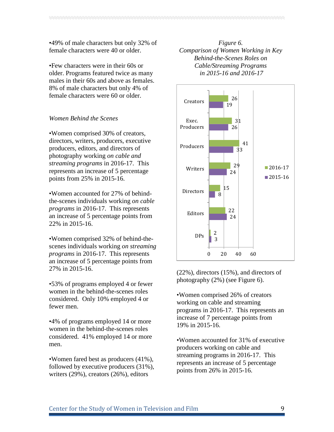•49% of male characters but only 32% of female characters were 40 or older.

•Few characters were in their 60s or older. Programs featured twice as many males in their 60s and above as females. 8% of male characters but only 4% of female characters were 60 or older.

#### *Women Behind the Scenes*

•Women comprised 30% of creators, directors, writers, producers, executive producers, editors, and directors of photography working *on cable and streaming programs* in 2016-17. This represents an increase of 5 percentage points from 25% in 2015-16.

•Women accounted for 27% of behindthe-scenes individuals working *on cable programs* in 2016-17. This represents an increase of 5 percentage points from 22% in 2015-16.

•Women comprised 32% of behind-thescenes individuals working *on streaming programs* in 2016-17. This represents an increase of 5 percentage points from 27% in 2015-16.

•53% of programs employed 4 or fewer women in the behind-the-scenes roles considered. Only 10% employed 4 or fewer men.

•4% of programs employed 14 or more women in the behind-the-scenes roles considered. 41% employed 14 or more men.

•Women fared best as producers (41%), followed by executive producers (31%), writers (29%), creators (26%), editors

*Figure 6. Comparison of Women Working in Key Behind-the-Scenes Roles on Cable/Streaming Programs in 2015-16 and 2016-17*



(22%), directors (15%), and directors of photography (2%) (see Figure 6).

•Women comprised 26% of creators working on cable and streaming programs in 2016-17. This represents an increase of 7 percentage points from 19% in 2015-16.

•Women accounted for 31% of executive producers working on cable and streaming programs in 2016-17. This represents an increase of 5 percentage points from 26% in 2015-16.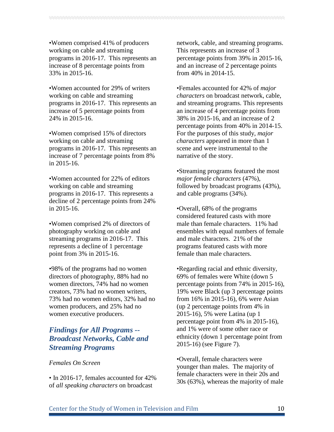•Women comprised 41% of producers working on cable and streaming programs in 2016-17. This represents an increase of 8 percentage points from 33% in 2015-16.

•Women accounted for 29% of writers working on cable and streaming programs in 2016-17. This represents an increase of 5 percentage points from 24% in 2015-16.

•Women comprised 15% of directors working on cable and streaming programs in 2016-17. This represents an increase of 7 percentage points from 8% in 2015-16.

•Women accounted for 22% of editors working on cable and streaming programs in 2016-17. This represents a decline of 2 percentage points from 24% in 2015-16.

•Women comprised 2% of directors of photography working on cable and streaming programs in 2016-17. This represents a decline of 1 percentage point from 3% in 2015-16.

•98% of the programs had no women directors of photography, 88% had no women directors, 74% had no women creators, 73% had no women writers, 73% had no women editors, 32% had no women producers, and 25% had no women executive producers.

# *Findings for All Programs -- Broadcast Networks, Cable and Streaming Programs*

#### *Females On Screen*

• In 2016-17, females accounted for 42% of *all speaking characters* on broadcast

network, cable, and streaming programs. This represents an increase of 3 percentage points from 39% in 2015-16, and an increase of 2 percentage points from 40% in 2014-15.

•Females accounted for 42% of *major characters* on broadcast network, cable, and streaming programs. This represents an increase of 4 percentage points from 38% in 2015-16, and an increase of 2 percentage points from 40% in 2014-15. For the purposes of this study, *major characters* appeared in more than 1 scene and were instrumental to the narrative of the story.

•Streaming programs featured the most *major female characters* (47%), followed by broadcast programs (43%), and cable programs (34%).

•Overall, 68% of the programs considered featured casts with more male than female characters. 11% had ensembles with equal numbers of female and male characters. 21% of the programs featured casts with more female than male characters.

•Regarding racial and ethnic diversity, 69% of females were White (down 5 percentage points from 74% in 2015-16), 19% were Black (up 3 percentage points from 16% in 2015-16), 6% were Asian (up 2 percentage points from 4% in 2015-16), 5% were Latina (up 1 percentage point from 4% in 2015-16), and 1% were of some other race or ethnicity (down 1 percentage point from 2015-16) (see Figure 7).

•Overall, female characters were younger than males. The majority of female characters were in their 20s and 30s (63%), whereas the majority of male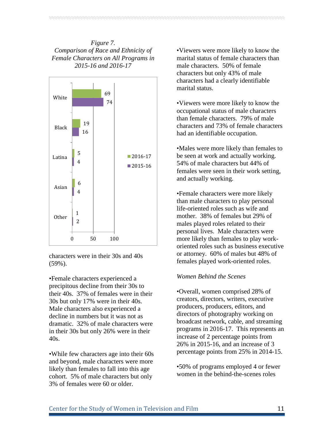# *Figure 7. Comparison of Race and Ethnicity of Female Characters on All Programs in 2015-16 and 2016-17*



characters were in their 30s and 40s (59%).

•Female characters experienced a precipitous decline from their 30s to their 40s. 37% of females were in their 30s but only 17% were in their 40s. Male characters also experienced a decline in numbers but it was not as dramatic. 32% of male characters were in their 30s but only 26% were in their 40s.

•While few characters age into their 60s and beyond, male characters were more likely than females to fall into this age cohort. 5% of male characters but only 3% of females were 60 or older.

•Viewers were more likely to know the marital status of female characters than male characters. 50% of female characters but only 43% of male characters had a clearly identifiable marital status.

•Viewers were more likely to know the occupational status of male characters than female characters. 79% of male characters and 73% of female characters had an identifiable occupation.

•Males were more likely than females to be seen at work and actually working. 54% of male characters but 44% of females were seen in their work setting, and actually working.

•Female characters were more likely than male characters to play personal life-oriented roles such as wife and mother. 38% of females but 29% of males played roles related to their personal lives. Male characters were more likely than females to play workoriented roles such as business executive or attorney. 60% of males but 48% of females played work-oriented roles.

#### *Women Behind the Scenes*

•Overall, women comprised 28% of creators, directors, writers, executive producers, producers, editors, and directors of photography working on broadcast network, cable, and streaming programs in 2016-17. This represents an increase of 2 percentage points from 26% in 2015-16, and an increase of 3 percentage points from 25% in 2014-15.

•50% of programs employed 4 or fewer women in the behind-the-scenes roles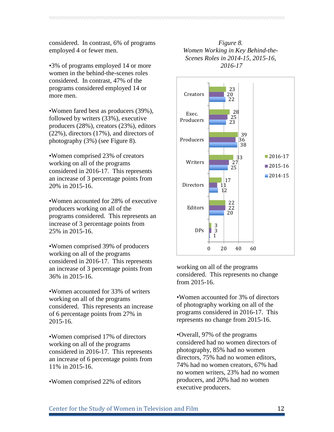considered. In contrast, 6% of programs employed 4 or fewer men.

•3% of programs employed 14 or more women in the behind-the-scenes roles considered. In contrast, 47% of the programs considered employed 14 or more men.

•Women fared best as producers (39%), followed by writers (33%), executive producers (28%), creators (23%), editors (22%), directors (17%), and directors of photography (3%) (see Figure 8).

•Women comprised 23% of creators working on all of the programs considered in 2016-17. This represents an increase of 3 percentage points from 20% in 2015-16.

•Women accounted for 28% of executive producers working on all of the programs considered. This represents an increase of 3 percentage points from 25% in 2015-16.

•Women comprised 39% of producers working on all of the programs considered in 2016-17. This represents an increase of 3 percentage points from 36% in 2015-16.

•Women accounted for 33% of writers working on all of the programs considered. This represents an increase of 6 percentage points from 27% in 2015-16.

•Women comprised 17% of directors working on all of the programs considered in 2016-17. This represents an increase of 6 percentage points from 11% in 2015-16.

•Women comprised 22% of editors

# *Figure 8. Women Working in Key Behind-the-Scenes Roles in 2014-15, 2015-16, 2016-17*



working on all of the programs considered. This represents no change from 2015-16.

•Women accounted for 3% of directors of photography working on all of the programs considered in 2016-17. This represents no change from 2015-16.

•Overall, 97% of the programs considered had no women directors of photography, 85% had no women directors, 75% had no women editors, 74% had no women creators, 67% had no women writers, 23% had no women producers, and 20% had no women executive producers.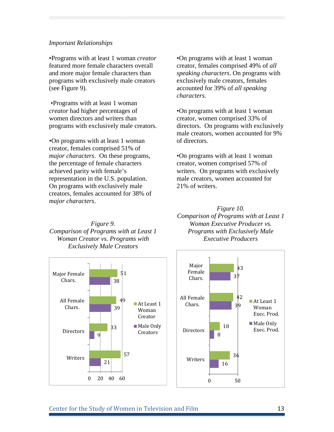#### *Important Relationships*

•Programs with at least 1 woman *creator* featured more female characters overall and more major female characters than programs with exclusively male creators (see Figure 9).

•Programs with at least 1 woman *creator* had higher percentages of women directors and writers than programs with exclusively male creators.

•On programs with at least 1 woman creator, females comprised 51% of *major characters*. On these programs, the percentage of female characters achieved parity with female's representation in the U.S. population. On programs with exclusively male creators, females accounted for 38% of *major characters*.

•On programs with at least 1 woman creator, females comprised 49% of *all speaking characters*. On programs with exclusively male creators, females accounted for 39% of *all speaking characters*.

•On programs with at least 1 woman creator, women comprised 33% of directors. On programs with exclusively male creators, women accounted for 9% of directors.

•On programs with at least 1 woman creator, women comprised 57% of writers. On programs with exclusively male creators, women accounted for 21% of writers.



*Figure 10. Comparison of Programs with at Least 1 Woman Executive Producer vs. Programs with Exclusively Male Executive Producers*